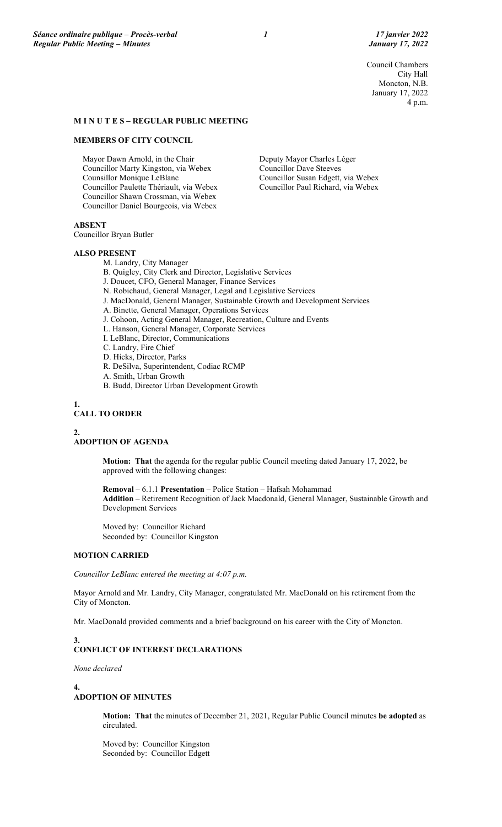Council Chambers City Hall Moncton, N.B. January 17, 2022 4 p.m.

### **M I N U T E S – REGULAR PUBLIC MEETING**

#### **MEMBERS OF CITY COUNCIL**

Mayor Dawn Arnold, in the Chair Councillor Marty Kingston, via Webex Counsillor Monique LeBlanc Councillor Paulette Thériault, via Webex Councillor Shawn Crossman, via Webex Councillor Daniel Bourgeois, via Webex

Deputy Mayor Charles Léger Councillor Dave Steeves Councillor Susan Edgett, via Webex Councillor Paul Richard, via Webex

# **ABSENT**

Councillor Bryan Butler

#### **ALSO PRESENT**

M. Landry, City Manager

- B. Quigley, City Clerk and Director, Legislative Services
- J. Doucet, CFO, General Manager, Finance Services
- N. Robichaud, General Manager, Legal and Legislative Services
- J. MacDonald, General Manager, Sustainable Growth and Development Services
- A. Binette, General Manager, Operations Services
- J. Cohoon, Acting General Manager, Recreation, Culture and Events
- L. Hanson, General Manager, Corporate Services
- I. LeBlanc, Director, Communications
- C. Landry, Fire Chief
- D. Hicks, Director, Parks
- R. DeSilva, Superintendent, Codiac RCMP
- A. Smith, Urban Growth
	- B. Budd, Director Urban Development Growth

#### **1. CALL TO ORDER**

**2.**

#### **ADOPTION OF AGENDA**

**Motion: That** the agenda for the regular public Council meeting dated January 17, 2022, be approved with the following changes:

**Removal** – 6.1.1 **Presentation** – Police Station – Hafsah Mohammad **Addition** – Retirement Recognition of Jack Macdonald, General Manager, Sustainable Growth and Development Services

Moved by: Councillor Richard Seconded by: Councillor Kingston

# **MOTION CARRIED**

*Councillor LeBlanc entered the meeting at 4:07 p.m.*

Mayor Arnold and Mr. Landry, City Manager, congratulated Mr. MacDonald on his retirement from the City of Moncton.

Mr. MacDonald provided comments and a brief background on his career with the City of Moncton.

# **3. CONFLICT OF INTEREST DECLARATIONS**

*None declared*

**4.**

## **ADOPTION OF MINUTES**

**Motion: That** the minutes of December 21, 2021, Regular Public Council minutes **be adopted** as circulated.

Moved by: Councillor Kingston Seconded by: Councillor Edgett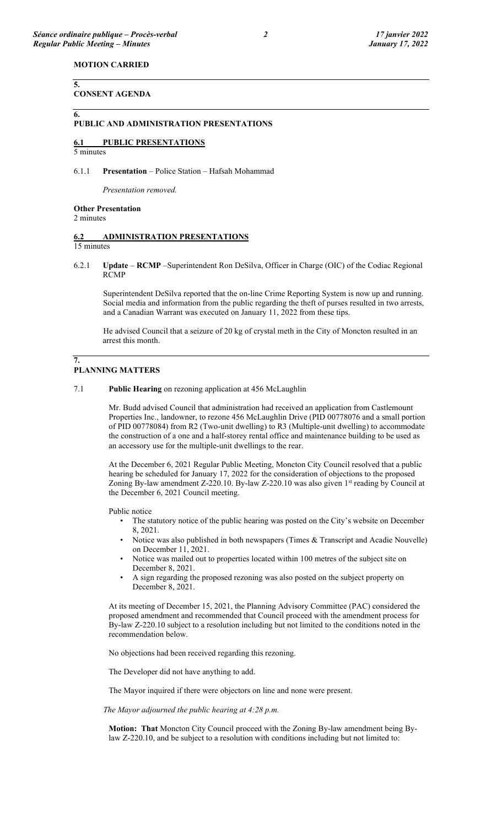### **MOTION CARRIED**

#### **CONSENT AGENDA**

#### **PUBLIC AND ADMINISTRATION PRESENTATIONS**

### **6.1 PUBLIC PRESENTATIONS**

5 minutes

**5.**

**6.**

#### 6.1.1 **Presentation** – Police Station – Hafsah Mohammad

*Presentation removed.*

### **Other Presentation**

2 minutes

# **6.2 ADMINISTRATION PRESENTATIONS**

15 minutes

**7.**

6.2.1 **Update** – **RCMP** –Superintendent Ron DeSilva, Officer in Charge (OIC) of the Codiac Regional RCMP

Superintendent DeSilva reported that the on-line Crime Reporting System is now up and running. Social media and information from the public regarding the theft of purses resulted in two arrests, and a Canadian Warrant was executed on January 11, 2022 from these tips.

He advised Council that a seizure of 20 kg of crystal meth in the City of Moncton resulted in an arrest this month.

## **PLANNING MATTERS**

#### 7.1 **Public Hearing** on rezoning application at 456 McLaughlin

Mr. Budd advised Council that administration had received an application from Castlemount Properties Inc., landowner, to rezone 456 McLaughlin Drive (PID 00778076 and a small portion of PID 00778084) from R2 (Two-unit dwelling) to R3 (Multiple-unit dwelling) to accommodate the construction of a one and a half-storey rental office and maintenance building to be used as an accessory use for the multiple-unit dwellings to the rear.

At the December 6, 2021 Regular Public Meeting, Moncton City Council resolved that a public hearing be scheduled for January 17, 2022 for the consideration of objections to the proposed Zoning By-law amendment Z-220.10. By-law Z-220.10 was also given 1<sup>st</sup> reading by Council at the December 6, 2021 Council meeting.

Public notice

- The statutory notice of the public hearing was posted on the City's website on December 8, 2021.
- Notice was also published in both newspapers (Times & Transcript and Acadie Nouvelle) on December 11, 2021.
- Notice was mailed out to properties located within 100 metres of the subject site on December 8, 2021.
- A sign regarding the proposed rezoning was also posted on the subject property on December 8, 2021.

At its meeting of December 15, 2021, the Planning Advisory Committee (PAC) considered the proposed amendment and recommended that Council proceed with the amendment process for By-law Z-220.10 subject to a resolution including but not limited to the conditions noted in the recommendation below.

No objections had been received regarding this rezoning.

The Developer did not have anything to add.

The Mayor inquired if there were objectors on line and none were present.

*The Mayor adjourned the public hearing at 4:28 p.m.*

**Motion: That** Moncton City Council proceed with the Zoning By-law amendment being Bylaw Z-220.10, and be subject to a resolution with conditions including but not limited to: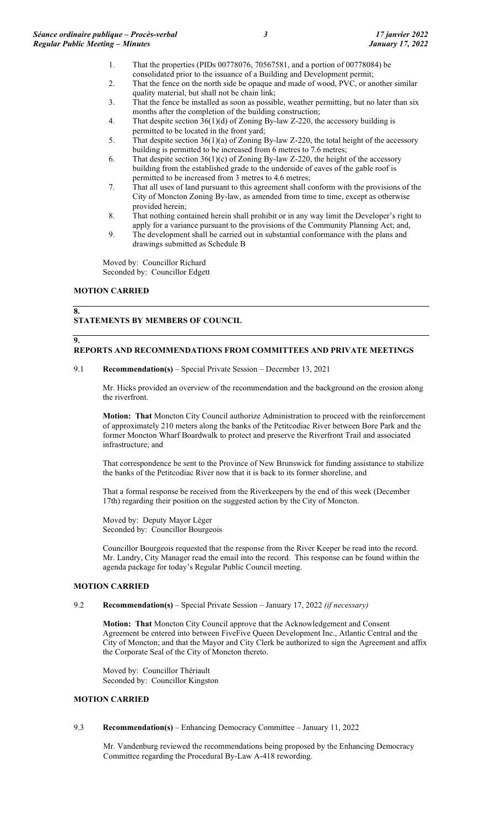- 1. That the properties (PIDs 00778076, 70567581, and a portion of 00778084) be consolidated prior to the issuance of a Building and Development permit;
- 2. That the fence on the north side be opaque and made of wood, PVC, or another similar quality material, but shall not be chain link;
- 3. That the fence be installed as soon as possible, weather permitting, but no later than six months after the completion of the building construction;
- 4. That despite section  $36(1)(d)$  of Zoning By-law Z-220, the accessory building is permitted to be located in the front yard;
- 5. That despite section 36(1)(a) of Zoning By-law Z-220, the total height of the accessory building is permitted to be increased from 6 metres to 7.6 metres;
- 6. That despite section  $36(1)(c)$  of Zoning By-law Z-220, the height of the accessory building from the established grade to the underside of eaves of the gable roof is permitted to be increased from 3 metres to 4.6 metres;
- 7. That all uses of land pursuant to this agreement shall conform with the provisions of the City of Moncton Zoning By-law, as amended from time to time, except as otherwise provided herein;
- 8. That nothing contained herein shall prohibit or in any way limit the Developer's right to apply for a variance pursuant to the provisions of the Community Planning Act; and,
- 9. The development shall be carried out in substantial conformance with the plans and drawings submitted as Schedule B

Moved by: Councillor Richard Seconded by: Councillor Edgett

# **MOTION CARRIED**

# **8.**

# **STATEMENTS BY MEMBERS OF COUNCIL**

# **9. REPORTS AND RECOMMENDATIONS FROM COMMITTEES AND PRIVATE MEETINGS**

# 9.1 **Recommendation(s)** – Special Private Session – December 13, 2021

Mr. Hicks provided an overview of the recommendation and the background on the erosion along the riverfront.

**Motion: That** Moncton City Council authorize Administration to proceed with the reinforcement of approximately 210 meters along the banks of the Petitcodiac River between Bore Park and the former Moncton Wharf Boardwalk to protect and preserve the Riverfront Trail and associated infrastructure; and

That correspondence be sent to the Province of New Brunswick for funding assistance to stabilize the banks of the Petitcodiac River now that it is back to its former shoreline, and

That a formal response be received from the Riverkeepers by the end of this week (December 17th) regarding their position on the suggested action by the City of Moncton.

Moved by: Deputy Mayor Léger Seconded by: Councillor Bourgeois

Councillor Bourgeois requested that the response from the River Keeper be read into the record. Mr. Landry, City Manager read the email into the record. This response can be found within the agenda package for today's Regular Public Council meeting.

## **MOTION CARRIED**

## 9.2 **Recommendation(s)** – Special Private Session – January 17, 2022 *(if necessary)*

**Motion: That** Moncton City Council approve that the Acknowledgement and Consent Agreement be entered into between FiveFive Queen Development Inc., Atlantic Central and the City of Moncton; and that the Mayor and City Clerk be authorized to sign the Agreement and affix the Corporate Seal of the City of Moncton thereto.

Moved by: Councillor Thériault Seconded by: Councillor Kingston

# **MOTION CARRIED**

# 9.3 **Recommendation(s)** – Enhancing Democracy Committee – January 11, 2022

Mr. Vandenburg reviewed the recommendations being proposed by the Enhancing Democracy Committee regarding the Procedural By-Law A-418 rewording.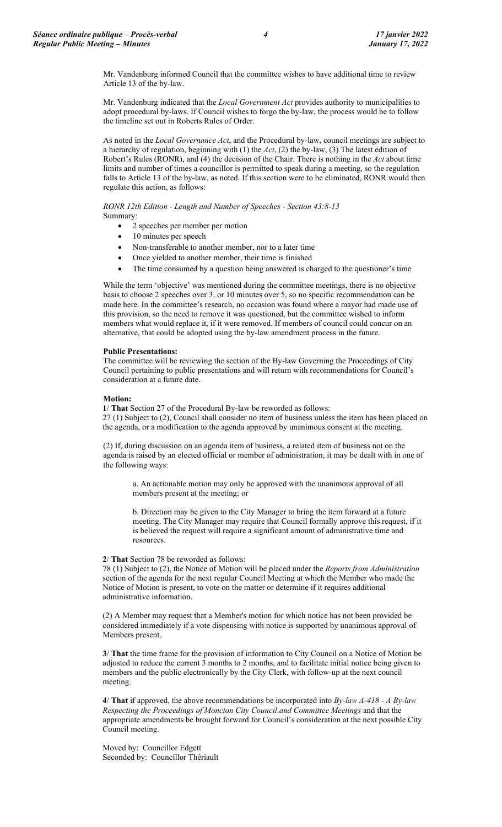Mr. Vandenburg informed Council that the committee wishes to have additional time to review Article 13 of the by-law.

Mr. Vandenburg indicated that the *Local Government Act* provides authority to municipalities to adopt procedural by-laws. If Council wishes to forgo the by-law, the process would be to follow the timeline set out in Roberts Rules of Order.

As noted in the *Local Governance Act*, and the Procedural by-law, council meetings are subject to a hierarchy of regulation, beginning with (1) the *Act*, (2) the by-law, (3) The latest edition of Robert's Rules (RONR), and (4) the decision of the Chair. There is nothing in the *Act* about time limits and number of times a councillor is permitted to speak during a meeting, so the regulation falls to Article 13 of the by-law, as noted. If this section were to be eliminated, RONR would then regulate this action, as follows:

*RONR 12th Edition - Length and Number of Speeches - Section 43:8-13*

Summary:

- 2 speeches per member per motion
- 10 minutes per speech
- Non-transferable to another member, nor to a later time
- Once yielded to another member, their time is finished
- The time consumed by a question being answered is charged to the questioner's time

While the term 'objective' was mentioned during the committee meetings, there is no objective basis to choose 2 speeches over 3, or 10 minutes over 5, so no specific recommendation can be made here. In the committee's research, no occasion was found where a mayor had made use of this provision, so the need to remove it was questioned, but the committee wished to inform members what would replace it, if it were removed. If members of council could concur on an alternative, that could be adopted using the by-law amendment process in the future.

# **Public Presentations:**

The committee will be reviewing the section of the By-law Governing the Proceedings of City Council pertaining to public presentations and will return with recommendations for Council's consideration at a future date.

# **Motion:**

**1**/ **That** Section 27 of the Procedural By-law be reworded as follows: 27 (1) Subject to (2), Council shall consider no item of business unless the item has been placed on the agenda, or a modification to the agenda approved by unanimous consent at the meeting.

(2) If, during discussion on an agenda item of business, a related item of business not on the agenda is raised by an elected official or member of administration, it may be dealt with in one of the following ways:

a. An actionable motion may only be approved with the unanimous approval of all members present at the meeting; or

b. Direction may be given to the City Manager to bring the item forward at a future meeting. The City Manager may require that Council formally approve this request, if it is believed the request will require a significant amount of administrative time and resources.

## **2**/ **That** Section 78 be reworded as follows:

78 (1) Subject to (2), the Notice of Motion will be placed under the *Reports from Administration* section of the agenda for the next regular Council Meeting at which the Member who made the Notice of Motion is present, to vote on the matter or determine if it requires additional administrative information.

(2) A Member may request that a Member's motion for which notice has not been provided be considered immediately if a vote dispensing with notice is supported by unanimous approval of Members present.

**3**/ **That** the time frame for the provision of information to City Council on a Notice of Motion be adjusted to reduce the current 3 months to 2 months, and to facilitate initial notice being given to members and the public electronically by the City Clerk, with follow-up at the next council meeting.

**4**/ **That** if approved, the above recommendations be incorporated into *By-law A-418 - A By-law Respecting the Proceedings of Moncton City Council and Committee Meetings* and that the appropriate amendments be brought forward for Council's consideration at the next possible City Council meeting.

Moved by: Councillor Edgett Seconded by: Councillor Thériault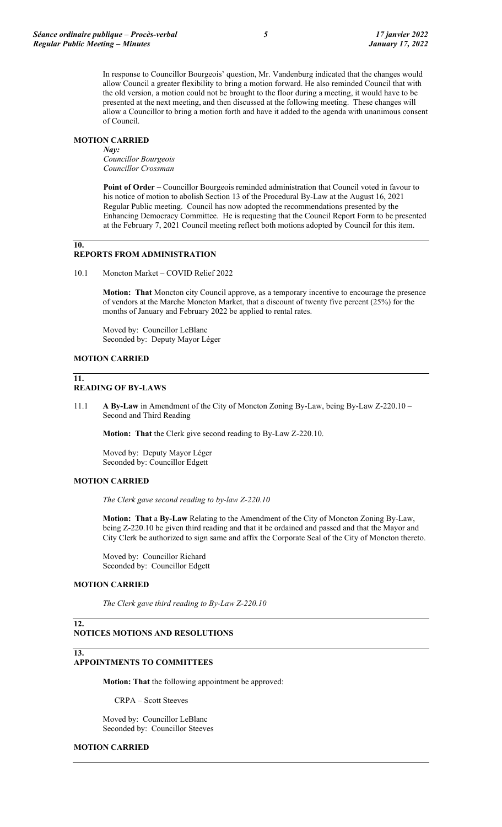In response to Councillor Bourgeois' question, Mr. Vandenburg indicated that the changes would allow Council a greater flexibility to bring a motion forward. He also reminded Council that with the old version, a motion could not be brought to the floor during a meeting, it would have to be presented at the next meeting, and then discussed at the following meeting. These changes will allow a Councillor to bring a motion forth and have it added to the agenda with unanimous consent of Council.

## **MOTION CARRIED**

*Nay: Councillor Bourgeois Councillor Crossman*

**Point of Order –** Councillor Bourgeois reminded administration that Council voted in favour to his notice of motion to abolish Section 13 of the Procedural By-Law at the August 16, 2021 Regular Public meeting. Council has now adopted the recommendations presented by the Enhancing Democracy Committee. He is requesting that the Council Report Form to be presented at the February 7, 2021 Council meeting reflect both motions adopted by Council for this item.

# **10.**

# **REPORTS FROM ADMINISTRATION**

10.1 Moncton Market – COVID Relief 2022

**Motion: That** Moncton city Council approve, as a temporary incentive to encourage the presence of vendors at the Marche Moncton Market, that a discount of twenty five percent (25%) for the months of January and February 2022 be applied to rental rates.

Moved by: Councillor LeBlanc Seconded by: Deputy Mayor Léger

# **MOTION CARRIED**

#### **11. READING OF BY-LAWS**

11.1 **A By-Law** in Amendment of the City of Moncton Zoning By-Law, being By-Law Z-220.10 – Second and Third Reading

**Motion: That** the Clerk give second reading to By-Law Z-220.10.

Moved by: Deputy Mayor Léger Seconded by: Councillor Edgett

## **MOTION CARRIED**

*The Clerk gave second reading to by-law Z-220.10*

**Motion: That** a **By-Law** Relating to the Amendment of the City of Moncton Zoning By-Law, being Z-220.10 be given third reading and that it be ordained and passed and that the Mayor and City Clerk be authorized to sign same and affix the Corporate Seal of the City of Moncton thereto.

Moved by: Councillor Richard Seconded by: Councillor Edgett

## **MOTION CARRIED**

**13.**

*The Clerk gave third reading to By-Law Z-220.10*

### **12. NOTICES MOTIONS AND RESOLUTIONS**

# **APPOINTMENTS TO COMMITTEES**

**Motion: That** the following appointment be approved:

CRPA – Scott Steeves

Moved by: Councillor LeBlanc Seconded by: Councillor Steeves

## **MOTION CARRIED**